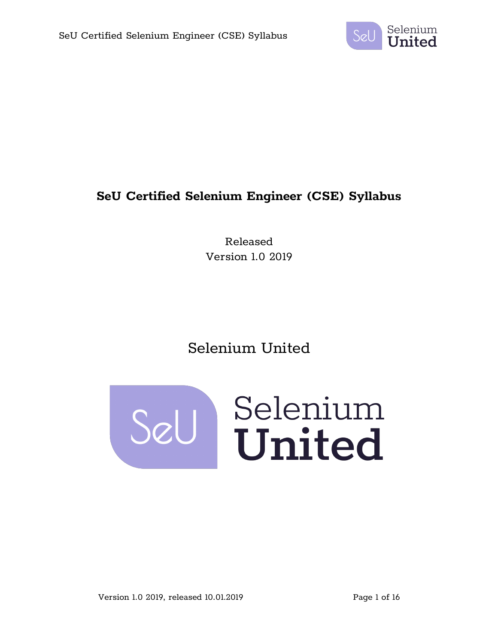

## **SeU Certified Selenium Engineer (CSE) Syllabus**

Released Version 1.0 2019

# Selenium United

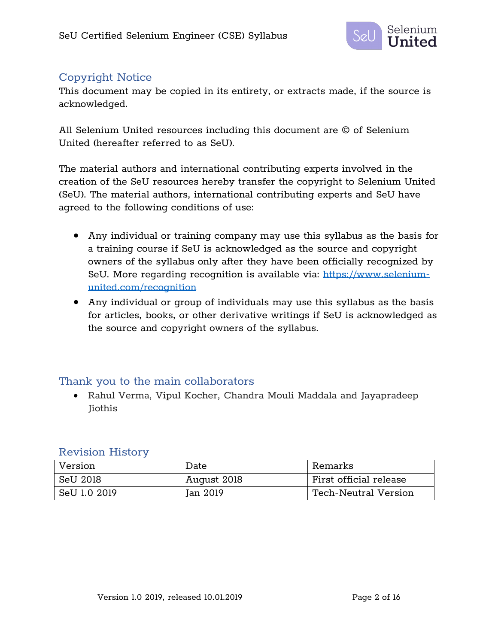

## Copyright Notice

This document may be copied in its entirety, or extracts made, if the source is acknowledged.

All Selenium United resources including this document are © of Selenium United (hereafter referred to as SeU).

The material authors and international contributing experts involved in the creation of the SeU resources hereby transfer the copyright to Selenium United (SeU). The material authors, international contributing experts and SeU have agreed to the following conditions of use:

- Any individual or training company may use this syllabus as the basis for a training course if SeU is acknowledged as the source and copyright owners of the syllabus only after they have been officially recognized by SeU. More regarding recognition is available via: https://www.seleniumunited.com/recognition
- Any individual or group of individuals may use this syllabus as the basis for articles, books, or other derivative writings if SeU is acknowledged as the source and copyright owners of the syllabus.

### Thank you to the main collaborators

• Rahul Verma, Vipul Kocher, Chandra Mouli Maddala and Jayapradeep Jiothis

### Revision History

| Version      | Date        | Remarks                     |
|--------------|-------------|-----------------------------|
| SeU 2018     | August 2018 | First official release      |
| SeU 1.0 2019 | Jan 2019    | <b>Tech-Neutral Version</b> |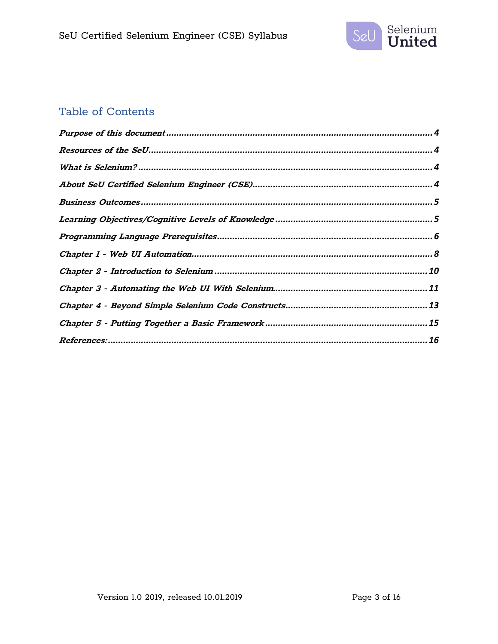

## Table of Contents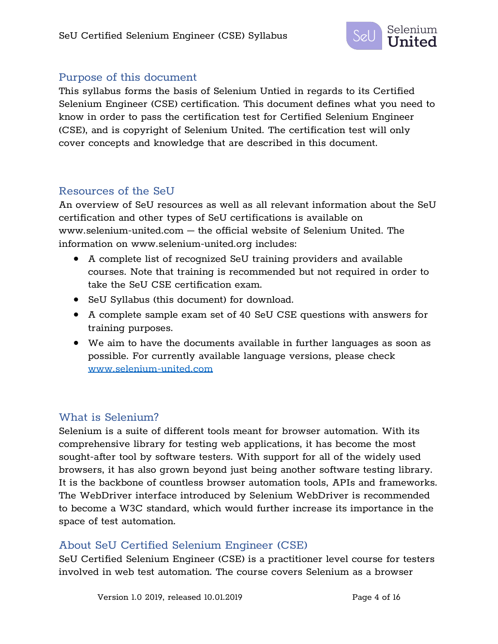

### Purpose of this document

This syllabus forms the basis of Selenium Untied in regards to its Certified Selenium Engineer (CSE) certification. This document defines what you need to know in order to pass the certification test for Certified Selenium Engineer (CSE), and is copyright of Selenium United. The certification test will only cover concepts and knowledge that are described in this document.

### Resources of the SeU

An overview of SeU resources as well as all relevant information about the SeU certification and other types of SeU certifications is available on www.selenium-united.com – the official website of Selenium United. The information on www.selenium-united.org includes:

- A complete list of recognized SeU training providers and available courses. Note that training is recommended but not required in order to take the SeU CSE certification exam.
- SeU Syllabus (this document) for download.
- A complete sample exam set of 40 SeU CSE questions with answers for training purposes.
- We aim to have the documents available in further languages as soon as possible. For currently available language versions, please check www.selenium-united.com

## What is Selenium?

Selenium is a suite of different tools meant for browser automation. With its comprehensive library for testing web applications, it has become the most sought-after tool by software testers. With support for all of the widely used browsers, it has also grown beyond just being another software testing library. It is the backbone of countless browser automation tools, APIs and frameworks. The WebDriver interface introduced by Selenium WebDriver is recommended to become a W3C standard, which would further increase its importance in the space of test automation.

## About SeU Certified Selenium Engineer (CSE)

SeU Certified Selenium Engineer (CSE) is a practitioner level course for testers involved in web test automation. The course covers Selenium as a browser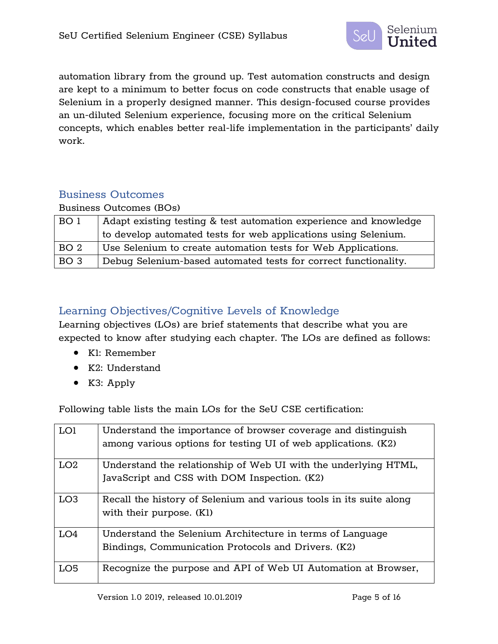

automation library from the ground up. Test automation constructs and design are kept to a minimum to better focus on code constructs that enable usage of Selenium in a properly designed manner. This design-focused course provides an un-diluted Selenium experience, focusing more on the critical Selenium concepts, which enables better real-life implementation in the participants' daily work.

## Business Outcomes

Business Outcomes (BOs)

| BO 1            | Adapt existing testing & test automation experience and knowledge |
|-----------------|-------------------------------------------------------------------|
|                 | to develop automated tests for web applications using Selenium.   |
| BO <sub>2</sub> | Use Selenium to create automation tests for Web Applications.     |
| BO <sub>3</sub> | Debug Selenium-based automated tests for correct functionality.   |

## Learning Objectives/Cognitive Levels of Knowledge

Learning objectives (LOs) are brief statements that describe what you are expected to know after studying each chapter. The LOs are defined as follows:

- K1: Remember
- K2: Understand
- K3: Apply

Following table lists the main LOs for the SeU CSE certification:

| LO1             | Understand the importance of browser coverage and distinguish       |
|-----------------|---------------------------------------------------------------------|
|                 | among various options for testing UI of web applications. (K2)      |
| LO <sub>2</sub> | Understand the relationship of Web UI with the underlying HTML,     |
|                 | JavaScript and CSS with DOM Inspection. (K2)                        |
| LO <sub>3</sub> | Recall the history of Selenium and various tools in its suite along |
|                 | with their purpose. (K1)                                            |
| LO4             | Understand the Selenium Architecture in terms of Language           |
|                 | Bindings, Communication Protocols and Drivers. (K2)                 |
| LO5             | Recognize the purpose and API of Web UI Automation at Browser,      |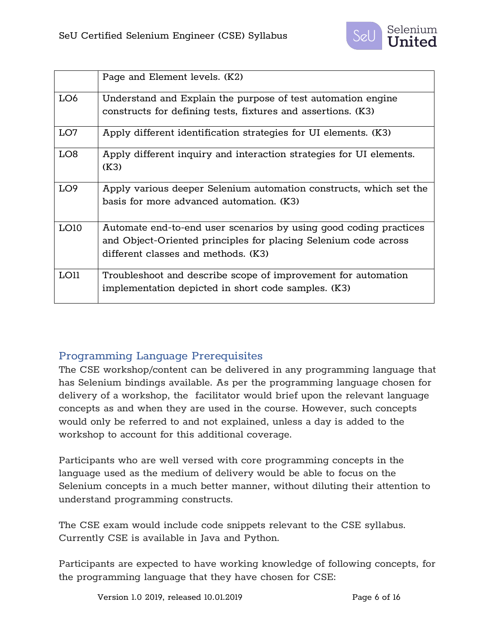

|                 | Page and Element levels. (K2)                                               |
|-----------------|-----------------------------------------------------------------------------|
| LO6             | Understand and Explain the purpose of test automation engine                |
|                 | constructs for defining tests, fixtures and assertions. (K3)                |
| LO7             | Apply different identification strategies for UI elements. (K3)             |
| LO <sub>8</sub> | Apply different inquiry and interaction strategies for UI elements.<br>(K3) |
| LO <sub>9</sub> | Apply various deeper Selenium automation constructs, which set the          |
|                 | basis for more advanced automation. (K3)                                    |
| LO10            | Automate end-to-end user scenarios by using good coding practices           |
|                 | and Object-Oriented principles for placing Selenium code across             |
|                 | different classes and methods. (K3)                                         |
| LO11            | Troubleshoot and describe scope of improvement for automation               |
|                 | implementation depicted in short code samples. (K3)                         |

## Programming Language Prerequisites

The CSE workshop/content can be delivered in any programming language that has Selenium bindings available. As per the programming language chosen for delivery of a workshop, the facilitator would brief upon the relevant language concepts as and when they are used in the course. However, such concepts would only be referred to and not explained, unless a day is added to the workshop to account for this additional coverage.

Participants who are well versed with core programming concepts in the language used as the medium of delivery would be able to focus on the Selenium concepts in a much better manner, without diluting their attention to understand programming constructs.

The CSE exam would include code snippets relevant to the CSE syllabus. Currently CSE is available in Java and Python.

Participants are expected to have working knowledge of following concepts, for the programming language that they have chosen for CSE:

Version 1.0 2019, released 10.01.2019 Page 6 of 16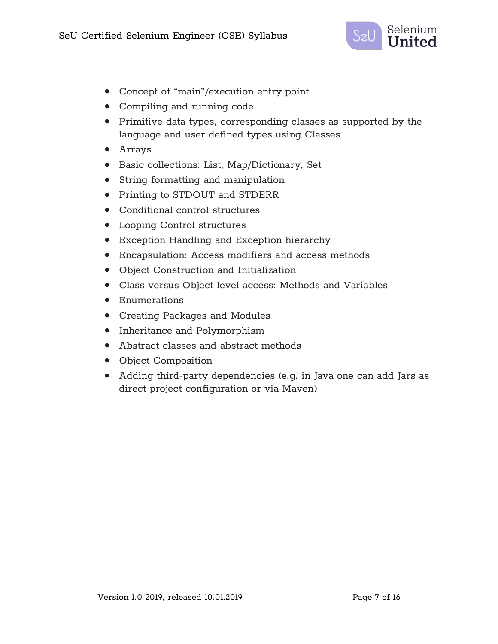

- Concept of "main"/execution entry point
- Compiling and running code
- Primitive data types, corresponding classes as supported by the language and user defined types using Classes
- Arrays
- Basic collections: List, Map/Dictionary, Set
- String formatting and manipulation
- Printing to STDOUT and STDERR
- Conditional control structures
- Looping Control structures
- Exception Handling and Exception hierarchy
- Encapsulation: Access modifiers and access methods
- Object Construction and Initialization
- Class versus Object level access: Methods and Variables
- Enumerations
- Creating Packages and Modules
- Inheritance and Polymorphism
- Abstract classes and abstract methods
- Object Composition
- Adding third-party dependencies (e.g. in Java one can add Jars as direct project configuration or via Maven)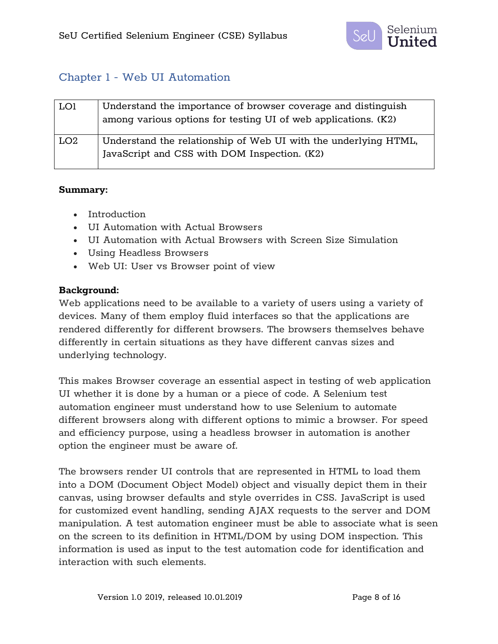

## Chapter 1 - Web UI Automation

| LO1             | Understand the importance of browser coverage and distinguish<br>among various options for testing UI of web applications. (K2) |
|-----------------|---------------------------------------------------------------------------------------------------------------------------------|
| LO <sub>2</sub> | Understand the relationship of Web UI with the underlying HTML,<br>JavaScript and CSS with DOM Inspection. (K2)                 |

#### **Summary:**

- Introduction
- UI Automation with Actual Browsers
- UI Automation with Actual Browsers with Screen Size Simulation
- Using Headless Browsers
- Web UI: User vs Browser point of view

#### **Background:**

Web applications need to be available to a variety of users using a variety of devices. Many of them employ fluid interfaces so that the applications are rendered differently for different browsers. The browsers themselves behave differently in certain situations as they have different canvas sizes and underlying technology.

This makes Browser coverage an essential aspect in testing of web application UI whether it is done by a human or a piece of code. A Selenium test automation engineer must understand how to use Selenium to automate different browsers along with different options to mimic a browser. For speed and efficiency purpose, using a headless browser in automation is another option the engineer must be aware of.

The browsers render UI controls that are represented in HTML to load them into a DOM (Document Object Model) object and visually depict them in their canvas, using browser defaults and style overrides in CSS. JavaScript is used for customized event handling, sending AJAX requests to the server and DOM manipulation. A test automation engineer must be able to associate what is seen on the screen to its definition in HTML/DOM by using DOM inspection. This information is used as input to the test automation code for identification and interaction with such elements.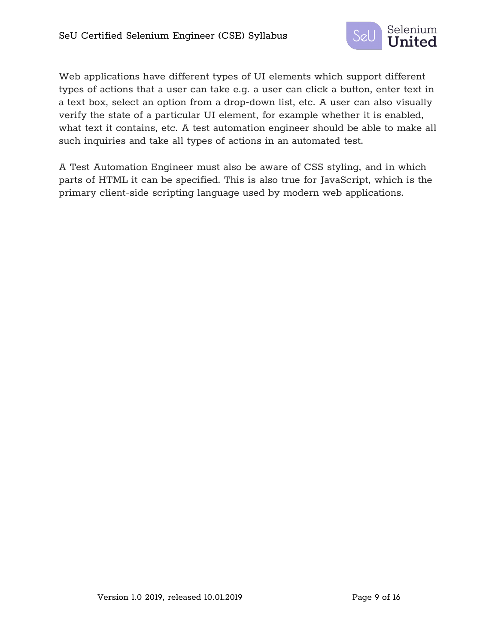

Web applications have different types of UI elements which support different types of actions that a user can take e.g. a user can click a button, enter text in a text box, select an option from a drop-down list, etc. A user can also visually verify the state of a particular UI element, for example whether it is enabled, what text it contains, etc. A test automation engineer should be able to make all such inquiries and take all types of actions in an automated test.

A Test Automation Engineer must also be aware of CSS styling, and in which parts of HTML it can be specified. This is also true for JavaScript, which is the primary client-side scripting language used by modern web applications.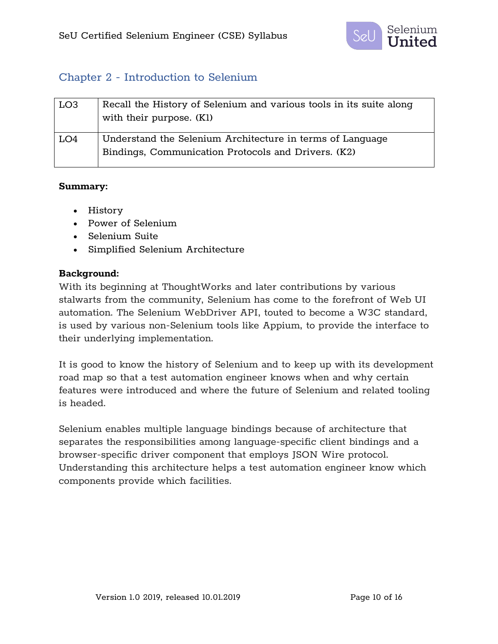

## Chapter 2 - Introduction to Selenium

| LO <sub>3</sub> | Recall the History of Selenium and various tools in its suite along<br>with their purpose. (K1)                  |
|-----------------|------------------------------------------------------------------------------------------------------------------|
| LO4             | Understand the Selenium Architecture in terms of Language<br>Bindings, Communication Protocols and Drivers. (K2) |

#### **Summary:**

- History
- Power of Selenium
- Selenium Suite
- Simplified Selenium Architecture

#### **Background:**

With its beginning at ThoughtWorks and later contributions by various stalwarts from the community, Selenium has come to the forefront of Web UI automation. The Selenium WebDriver API, touted to become a W3C standard, is used by various non-Selenium tools like Appium, to provide the interface to their underlying implementation.

It is good to know the history of Selenium and to keep up with its development road map so that a test automation engineer knows when and why certain features were introduced and where the future of Selenium and related tooling is headed.

Selenium enables multiple language bindings because of architecture that separates the responsibilities among language-specific client bindings and a browser-specific driver component that employs JSON Wire protocol. Understanding this architecture helps a test automation engineer know which components provide which facilities.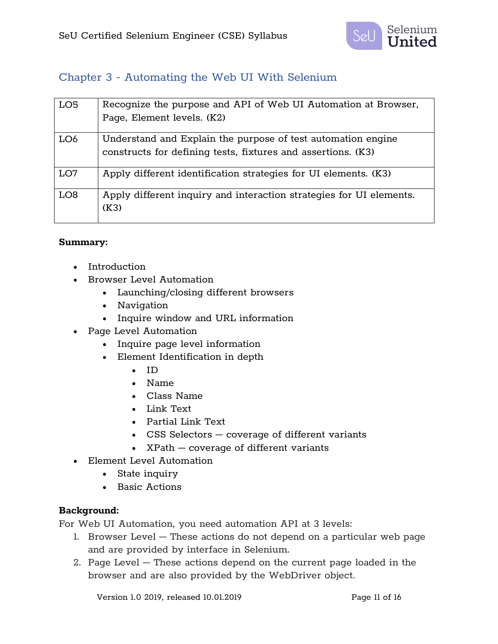

## Chapter 3 - Automating the Web UI With Selenium

| LO <sub>5</sub> | Recognize the purpose and API of Web UI Automation at Browser,<br>Page, Element levels. (K2)                                 |
|-----------------|------------------------------------------------------------------------------------------------------------------------------|
| LO <sub>6</sub> | Understand and Explain the purpose of test automation engine<br>constructs for defining tests, fixtures and assertions. (K3) |
| LO7             | Apply different identification strategies for UI elements. (K3)                                                              |
| LO <sub>8</sub> | Apply different inquiry and interaction strategies for UI elements.<br>(K3)                                                  |

#### **Summary:**

- Introduction
- Browser Level Automation
	- Launching/closing different browsers
	- Navigation
	- Inquire window and URL information
- Page Level Automation
	- Inquire page level information
	- Element Identification in depth
		- ID
		- Name
		- Class Name
		- Link Text
		- Partial Link Text
		- CSS Selectors coverage of different variants
		- XPath coverage of different variants
- Element Level Automation
	- State inquiry
	- Basic Actions

### **Background:**

For Web UI Automation, you need automation API at 3 levels:

- 1. Browser Level These actions do not depend on a particular web page and are provided by interface in Selenium.
- 2. Page Level These actions depend on the current page loaded in the browser and are also provided by the WebDriver object.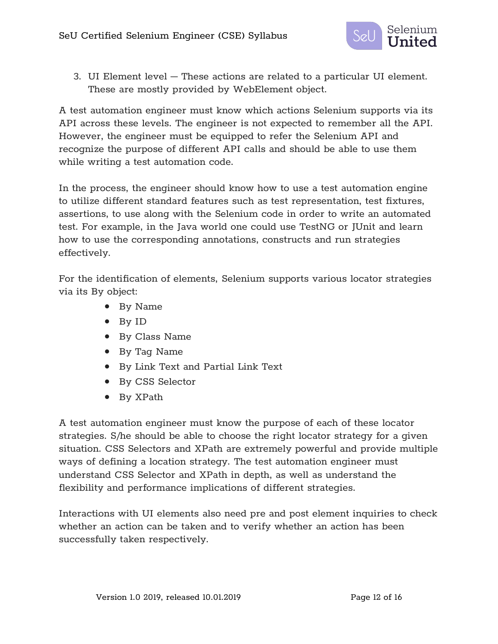

3. UI Element level – These actions are related to a particular UI element. These are mostly provided by WebElement object.

A test automation engineer must know which actions Selenium supports via its API across these levels. The engineer is not expected to remember all the API. However, the engineer must be equipped to refer the Selenium API and recognize the purpose of different API calls and should be able to use them while writing a test automation code.

In the process, the engineer should know how to use a test automation engine to utilize different standard features such as test representation, test fixtures, assertions, to use along with the Selenium code in order to write an automated test. For example, in the Java world one could use TestNG or JUnit and learn how to use the corresponding annotations, constructs and run strategies effectively.

For the identification of elements, Selenium supports various locator strategies via its By object:

- By Name
- By ID
- By Class Name
- By Tag Name
- By Link Text and Partial Link Text
- By CSS Selector
- By XPath

A test automation engineer must know the purpose of each of these locator strategies. S/he should be able to choose the right locator strategy for a given situation. CSS Selectors and XPath are extremely powerful and provide multiple ways of defining a location strategy. The test automation engineer must understand CSS Selector and XPath in depth, as well as understand the flexibility and performance implications of different strategies.

Interactions with UI elements also need pre and post element inquiries to check whether an action can be taken and to verify whether an action has been successfully taken respectively.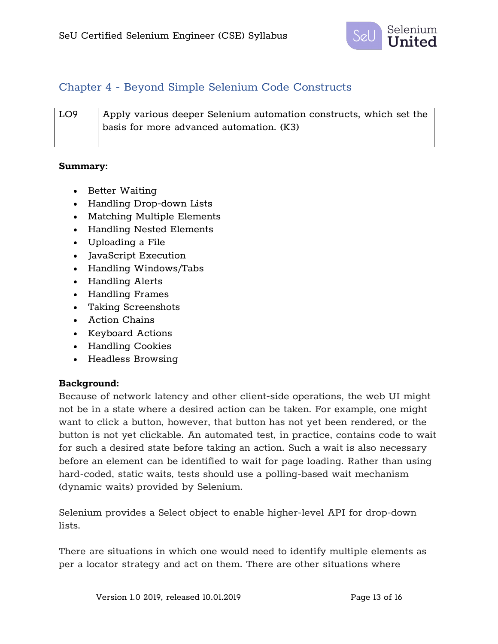

## Chapter 4 - Beyond Simple Selenium Code Constructs

| LO9 | $\mid$ Apply various deeper Selenium automation constructs, which set the |
|-----|---------------------------------------------------------------------------|
|     | basis for more advanced automation. (K3)                                  |
|     |                                                                           |

#### **Summary:**

- Better Waiting
- Handling Drop-down Lists
- Matching Multiple Elements
- Handling Nested Elements
- Uploading a File
- JavaScript Execution
- Handling Windows/Tabs
- Handling Alerts
- Handling Frames
- Taking Screenshots
- Action Chains
- Keyboard Actions
- Handling Cookies
- Headless Browsing

#### **Background:**

Because of network latency and other client-side operations, the web UI might not be in a state where a desired action can be taken. For example, one might want to click a button, however, that button has not yet been rendered, or the button is not yet clickable. An automated test, in practice, contains code to wait for such a desired state before taking an action. Such a wait is also necessary before an element can be identified to wait for page loading. Rather than using hard-coded, static waits, tests should use a polling-based wait mechanism (dynamic waits) provided by Selenium.

Selenium provides a Select object to enable higher-level API for drop-down lists.

There are situations in which one would need to identify multiple elements as per a locator strategy and act on them. There are other situations where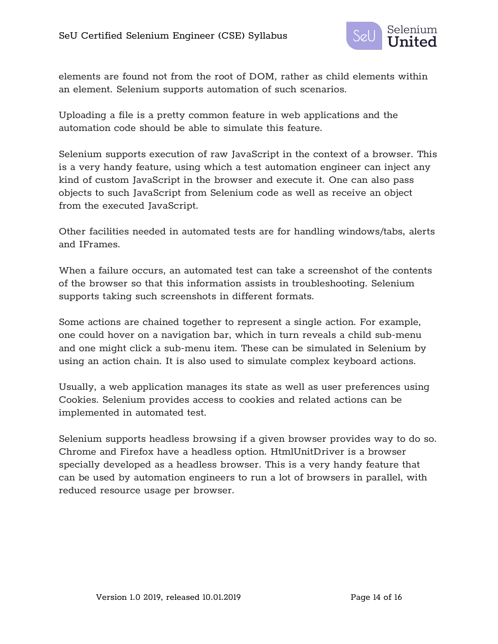

elements are found not from the root of DOM, rather as child elements within an element. Selenium supports automation of such scenarios.

Uploading a file is a pretty common feature in web applications and the automation code should be able to simulate this feature.

Selenium supports execution of raw JavaScript in the context of a browser. This is a very handy feature, using which a test automation engineer can inject any kind of custom JavaScript in the browser and execute it. One can also pass objects to such JavaScript from Selenium code as well as receive an object from the executed JavaScript.

Other facilities needed in automated tests are for handling windows/tabs, alerts and IFrames.

When a failure occurs, an automated test can take a screenshot of the contents of the browser so that this information assists in troubleshooting. Selenium supports taking such screenshots in different formats.

Some actions are chained together to represent a single action. For example, one could hover on a navigation bar, which in turn reveals a child sub-menu and one might click a sub-menu item. These can be simulated in Selenium by using an action chain. It is also used to simulate complex keyboard actions.

Usually, a web application manages its state as well as user preferences using Cookies. Selenium provides access to cookies and related actions can be implemented in automated test.

Selenium supports headless browsing if a given browser provides way to do so. Chrome and Firefox have a headless option. HtmlUnitDriver is a browser specially developed as a headless browser. This is a very handy feature that can be used by automation engineers to run a lot of browsers in parallel, with reduced resource usage per browser.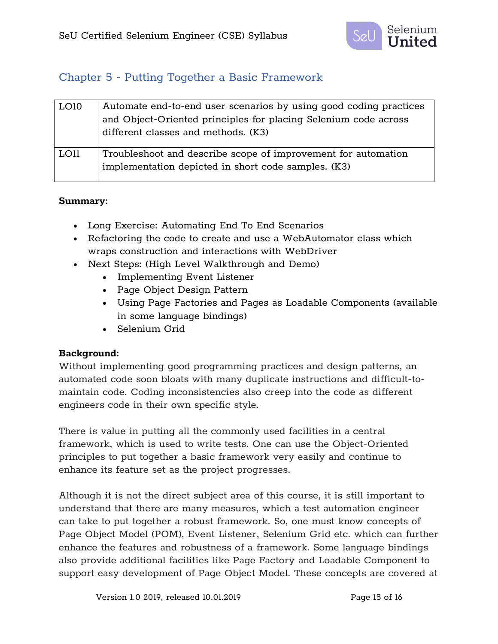

## Chapter 5 - Putting Together a Basic Framework

| LO10 | Automate end-to-end user scenarios by using good coding practices<br>and Object-Oriented principles for placing Selenium code across<br>different classes and methods. (K3) |
|------|-----------------------------------------------------------------------------------------------------------------------------------------------------------------------------|
| LO11 | Troubleshoot and describe scope of improvement for automation<br>implementation depicted in short code samples. (K3)                                                        |

### **Summary:**

- Long Exercise: Automating End To End Scenarios
- Refactoring the code to create and use a WebAutomator class which wraps construction and interactions with WebDriver
- Next Steps: (High Level Walkthrough and Demo)
	- Implementing Event Listener
	- Page Object Design Pattern
	- Using Page Factories and Pages as Loadable Components (available in some language bindings)
	- Selenium Grid

#### **Background:**

Without implementing good programming practices and design patterns, an automated code soon bloats with many duplicate instructions and difficult-tomaintain code. Coding inconsistencies also creep into the code as different engineers code in their own specific style.

There is value in putting all the commonly used facilities in a central framework, which is used to write tests. One can use the Object-Oriented principles to put together a basic framework very easily and continue to enhance its feature set as the project progresses.

Although it is not the direct subject area of this course, it is still important to understand that there are many measures, which a test automation engineer can take to put together a robust framework. So, one must know concepts of Page Object Model (POM), Event Listener, Selenium Grid etc. which can further enhance the features and robustness of a framework. Some language bindings also provide additional facilities like Page Factory and Loadable Component to support easy development of Page Object Model. These concepts are covered at